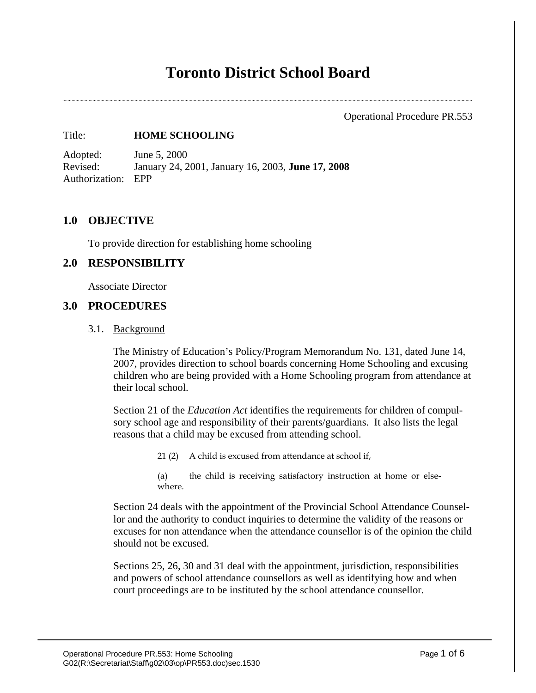# **Toronto District School Board**

Operational Procedure PR.553

#### Title: **HOME SCHOOLING**

Adopted: June 5, 2000 Revised: January 24, 2001, January 16, 2003, **June 17, 2008**  Authorization: EPP

#### **1.0 OBJECTIVE**

To provide direction for establishing home schooling

## **2.0 RESPONSIBILITY**

Associate Director

#### **3.0 PROCEDURES**

#### 3.1. Background

The Ministry of Education's Policy/Program Memorandum No. 131, dated June 14, 2007, provides direction to school boards concerning Home Schooling and excusing children who are being provided with a Home Schooling program from attendance at their local school.

Section 21 of the *Education Act* identifies the requirements for children of compulsory school age and responsibility of their parents/guardians. It also lists the legal reasons that a child may be excused from attending school.

21 (2) A child is excused from attendance at school if,

(a) the child is receiving satisfactory instruction at home or elsewhere.

Section 24 deals with the appointment of the Provincial School Attendance Counsellor and the authority to conduct inquiries to determine the validity of the reasons or excuses for non attendance when the attendance counsellor is of the opinion the child should not be excused.

Sections 25, 26, 30 and 31 deal with the appointment, jurisdiction, responsibilities and powers of school attendance counsellors as well as identifying how and when court proceedings are to be instituted by the school attendance counsellor.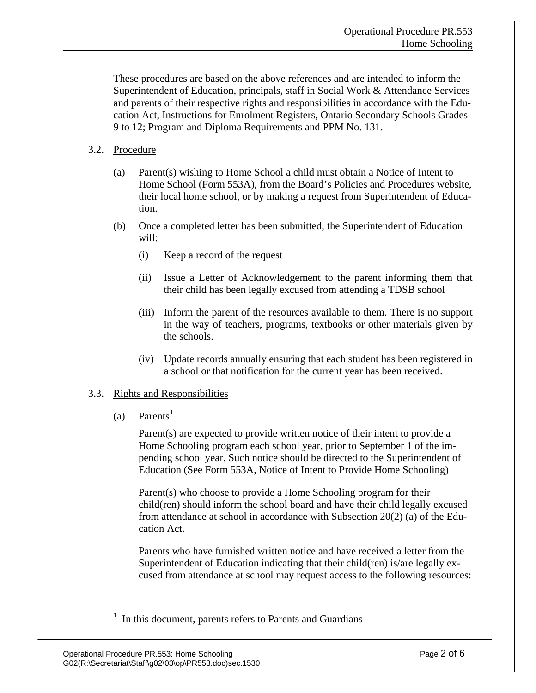These procedures are based on the above references and are intended to inform the Superintendent of Education, principals, staff in Social Work & Attendance Services and parents of their respective rights and responsibilities in accordance with the Education Act, Instructions for Enrolment Registers, Ontario Secondary Schools Grades 9 to 12; Program and Diploma Requirements and PPM No. 131.

## 3.2. Procedure

- (a) Parent(s) wishing to Home School a child must obtain a Notice of Intent to Home School (Form 553A), from the Board's Policies and Procedures website, their local home school, or by making a request from Superintendent of Education.
- (b) Once a completed letter has been submitted, the Superintendent of Education will:
	- (i) Keep a record of the request
	- (ii) Issue a Letter of Acknowledgement to the parent informing them that their child has been legally excused from attending a TDSB school
	- (iii) Inform the parent of the resources available to them. There is no support in the way of teachers, programs, textbooks or other materials given by the schools.
	- (iv) Update records annually ensuring that each student has been registered in a school or that notification for the current year has been received.

## 3.3. Rights and Responsibilities

(a) Parents<sup>[1](#page-1-0)</sup>

Parent(s) are expected to provide written notice of their intent to provide a Home Schooling program each school year, prior to September 1 of the impending school year. Such notice should be directed to the Superintendent of Education (See Form 553A, Notice of Intent to Provide Home Schooling)

Parent(s) who choose to provide a Home Schooling program for their child(ren) should inform the school board and have their child legally excused from attendance at school in accordance with Subsection 20(2) (a) of the Education Act.

Parents who have furnished written notice and have received a letter from the Superintendent of Education indicating that their child(ren) is/are legally excused from attendance at school may request access to the following resources:

<span id="page-1-0"></span><sup>&</sup>lt;u>1</u>  $<sup>1</sup>$  In this document, parents refers to Parents and Guardians</sup>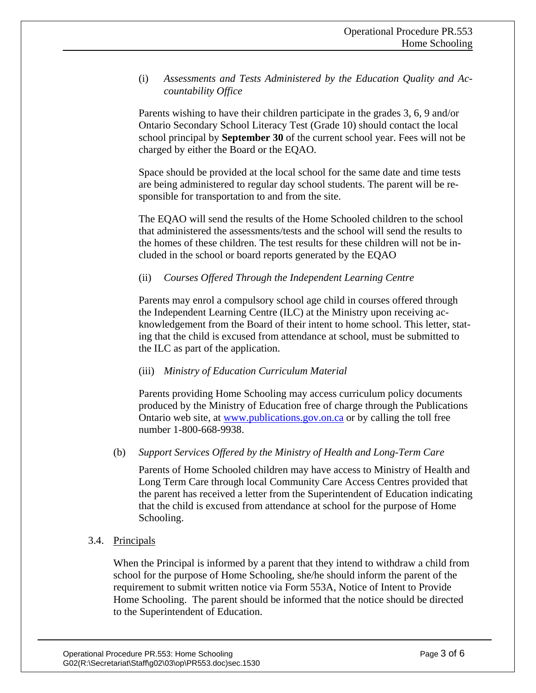(i) *Assessments and Tests Administered by the Education Quality and Accountability Office* 

Parents wishing to have their children participate in the grades 3, 6, 9 and/or Ontario Secondary School Literacy Test (Grade 10) should contact the local school principal by **September 30** of the current school year. Fees will not be charged by either the Board or the EQAO.

Space should be provided at the local school for the same date and time tests are being administered to regular day school students. The parent will be responsible for transportation to and from the site.

The EQAO will send the results of the Home Schooled children to the school that administered the assessments/tests and the school will send the results to the homes of these children. The test results for these children will not be included in the school or board reports generated by the EQAO

## (ii) *Courses Offered Through the Independent Learning Centre*

Parents may enrol a compulsory school age child in courses offered through the Independent Learning Centre (ILC) at the Ministry upon receiving acknowledgement from the Board of their intent to home school. This letter, stating that the child is excused from attendance at school, must be submitted to the ILC as part of the application.

#### (iii) *Ministry of Education Curriculum Material*

Parents providing Home Schooling may access curriculum policy documents produced by the Ministry of Education free of charge through the Publications Ontario web site, at www.publications.gov.on.ca or by calling the toll free number 1-800-668-9938.

## (b) *Support Services Offered by the Ministry of Health and Long-Term Care*

Parents of Home Schooled children may have access to Ministry of Health and Long Term Care through local Community Care Access Centres provided that the parent has received a letter from the Superintendent of Education indicating that the child is excused from attendance at school for the purpose of Home Schooling.

#### 3.4. Principals

When the Principal is informed by a parent that they intend to withdraw a child from school for the purpose of Home Schooling, she/he should inform the parent of the requirement to submit written notice via Form 553A, Notice of Intent to Provide Home Schooling. The parent should be informed that the notice should be directed to the Superintendent of Education.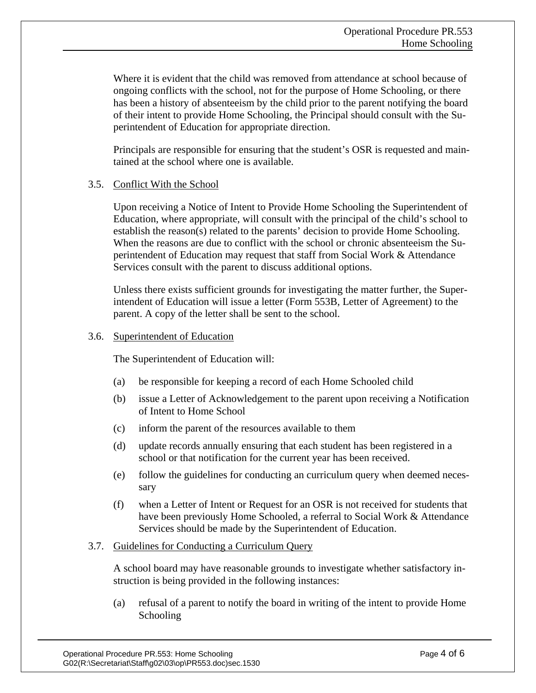Where it is evident that the child was removed from attendance at school because of ongoing conflicts with the school, not for the purpose of Home Schooling, or there has been a history of absenteeism by the child prior to the parent notifying the board of their intent to provide Home Schooling, the Principal should consult with the Superintendent of Education for appropriate direction.

Principals are responsible for ensuring that the student's OSR is requested and maintained at the school where one is available.

#### 3.5. Conflict With the School

Upon receiving a Notice of Intent to Provide Home Schooling the Superintendent of Education, where appropriate, will consult with the principal of the child's school to establish the reason(s) related to the parents' decision to provide Home Schooling. When the reasons are due to conflict with the school or chronic absenteeism the Superintendent of Education may request that staff from Social Work & Attendance Services consult with the parent to discuss additional options.

Unless there exists sufficient grounds for investigating the matter further, the Superintendent of Education will issue a letter (Form 553B, Letter of Agreement) to the parent. A copy of the letter shall be sent to the school.

## 3.6. Superintendent of Education

The Superintendent of Education will:

- (a) be responsible for keeping a record of each Home Schooled child
- (b) issue a Letter of Acknowledgement to the parent upon receiving a Notification of Intent to Home School
- (c) inform the parent of the resources available to them
- (d) update records annually ensuring that each student has been registered in a school or that notification for the current year has been received.
- (e) follow the guidelines for conducting an curriculum query when deemed necessary
- (f) when a Letter of Intent or Request for an OSR is not received for students that have been previously Home Schooled, a referral to Social Work & Attendance Services should be made by the Superintendent of Education.

## 3.7. Guidelines for Conducting a Curriculum Query

A school board may have reasonable grounds to investigate whether satisfactory instruction is being provided in the following instances:

(a) refusal of a parent to notify the board in writing of the intent to provide Home Schooling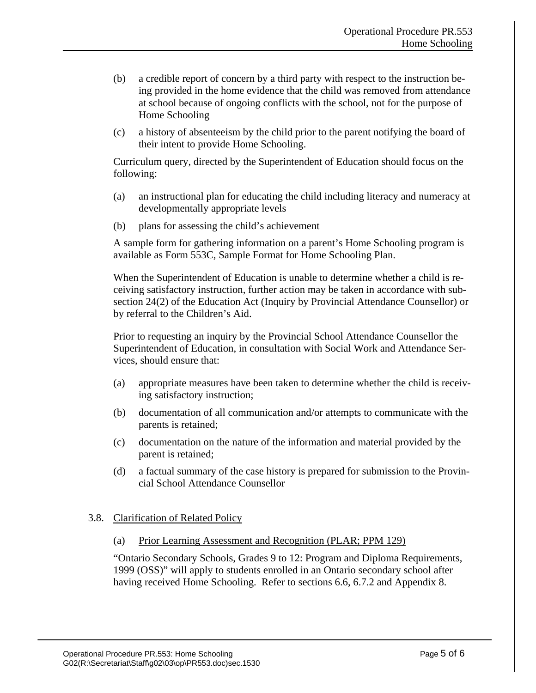- (b) a credible report of concern by a third party with respect to the instruction being provided in the home evidence that the child was removed from attendance at school because of ongoing conflicts with the school, not for the purpose of Home Schooling
- (c) a history of absenteeism by the child prior to the parent notifying the board of their intent to provide Home Schooling.

Curriculum query, directed by the Superintendent of Education should focus on the following:

- (a) an instructional plan for educating the child including literacy and numeracy at developmentally appropriate levels
- (b) plans for assessing the child's achievement

A sample form for gathering information on a parent's Home Schooling program is available as Form 553C, Sample Format for Home Schooling Plan.

When the Superintendent of Education is unable to determine whether a child is receiving satisfactory instruction, further action may be taken in accordance with subsection 24(2) of the Education Act (Inquiry by Provincial Attendance Counsellor) or by referral to the Children's Aid.

Prior to requesting an inquiry by the Provincial School Attendance Counsellor the Superintendent of Education, in consultation with Social Work and Attendance Services, should ensure that:

- (a) appropriate measures have been taken to determine whether the child is receiving satisfactory instruction;
- (b) documentation of all communication and/or attempts to communicate with the parents is retained;
- (c) documentation on the nature of the information and material provided by the parent is retained;
- (d) a factual summary of the case history is prepared for submission to the Provincial School Attendance Counsellor

## 3.8. Clarification of Related Policy

(a) Prior Learning Assessment and Recognition (PLAR; PPM 129)

"Ontario Secondary Schools, Grades 9 to 12: Program and Diploma Requirements, 1999 (OSS)" will apply to students enrolled in an Ontario secondary school after having received Home Schooling. Refer to sections 6.6, 6.7.2 and Appendix 8.